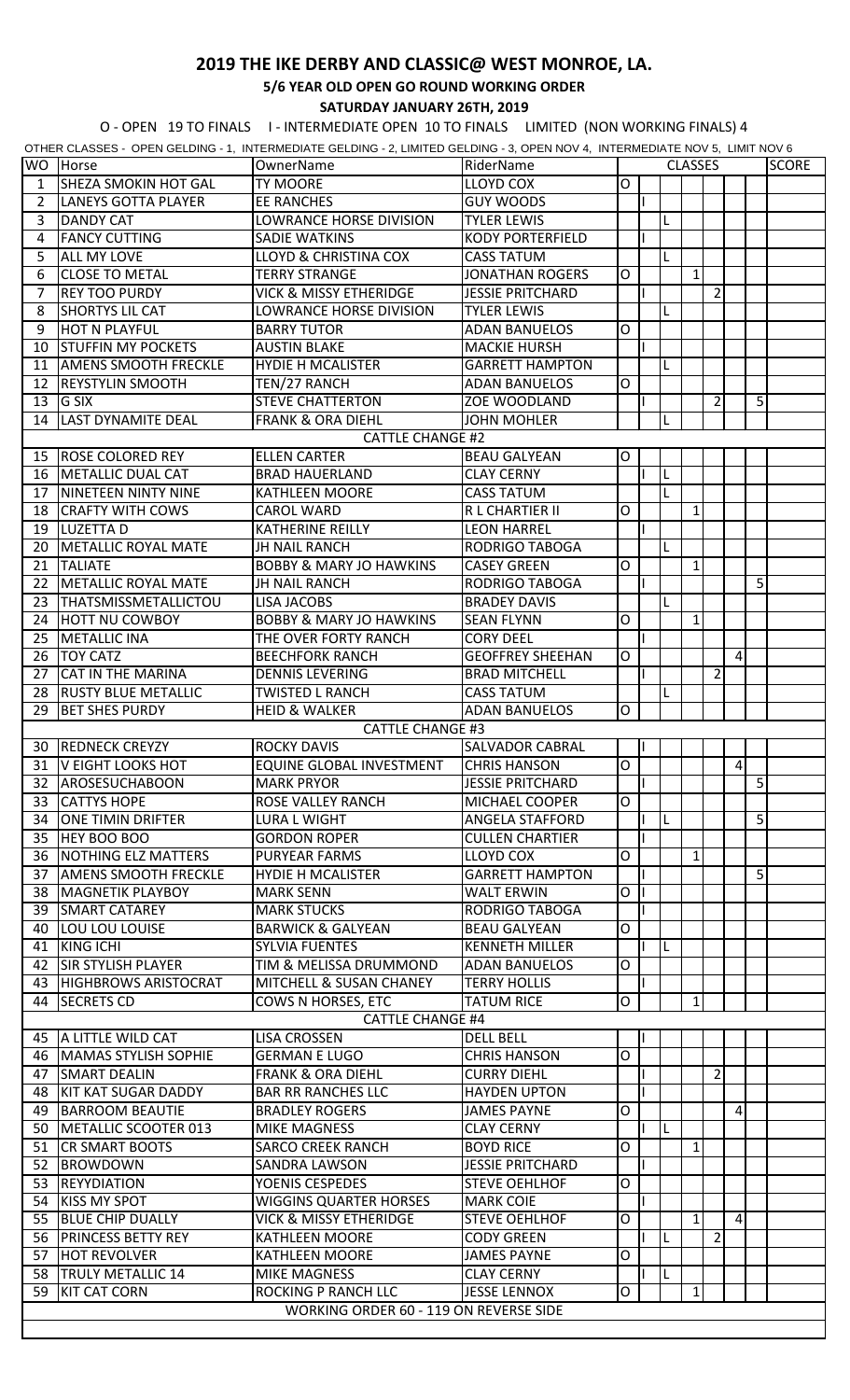## **2019 THE IKE DERBY AND CLASSIC@ WEST MONROE, LA.**

**5/6 YEAR OLD OPEN GO ROUND WORKING ORDER**

**SATURDAY JANUARY 26TH, 2019**

O - OPEN 19 TO FINALS I - INTERMEDIATE OPEN 10 TO FINALS LIMITED (NON WORKING FINALS) 4

|                         |                             | OTHER CLASSES - OPEN GELDING - 1, INTERMEDIATE GELDING - 2, LIMITED GELDING - 3, OPEN NOV 4, INTERMEDIATE NOV 5, LIMIT NOV 6 |                         |        |  |  |                |                |          |   |              |
|-------------------------|-----------------------------|------------------------------------------------------------------------------------------------------------------------------|-------------------------|--------|--|--|----------------|----------------|----------|---|--------------|
| <b>WO</b>               | Horse                       | OwnerName                                                                                                                    | RiderName               |        |  |  | <b>CLASSES</b> |                |          |   | <b>SCORE</b> |
| 1                       | <b>SHEZA SMOKIN HOT GAL</b> | <b>TY MOORE</b>                                                                                                              | <b>LLOYD COX</b>        | O      |  |  |                |                |          |   |              |
| $\overline{2}$          | <b>LANEYS GOTTA PLAYER</b>  | <b>EE RANCHES</b>                                                                                                            | <b>GUY WOODS</b>        |        |  |  |                |                |          |   |              |
| 3                       | <b>DANDY CAT</b>            | LOWRANCE HORSE DIVISION                                                                                                      | <b>TYLER LEWIS</b>      |        |  |  |                |                |          |   |              |
| 4                       | <b>FANCY CUTTING</b>        | <b>SADIE WATKINS</b>                                                                                                         | <b>KODY PORTERFIELD</b> |        |  |  |                |                |          |   |              |
| 5                       | <b>ALL MY LOVE</b>          | <b>LLOYD &amp; CHRISTINA COX</b>                                                                                             | <b>CASS TATUM</b>       |        |  |  |                |                |          |   |              |
|                         |                             |                                                                                                                              |                         | O      |  |  | $\mathbf{1}$   |                |          |   |              |
| 6                       | <b>CLOSE TO METAL</b>       | <b>TERRY STRANGE</b>                                                                                                         | <b>JONATHAN ROGERS</b>  |        |  |  |                |                |          |   |              |
| 7                       | <b>REY TOO PURDY</b>        | VICK & MISSY ETHERIDGE                                                                                                       | <b>JESSIE PRITCHARD</b> |        |  |  |                | $\overline{2}$ |          |   |              |
| 8                       | <b>SHORTYS LIL CAT</b>      | LOWRANCE HORSE DIVISION                                                                                                      | <b>TYLER LEWIS</b>      |        |  |  |                |                |          |   |              |
| 9                       | <b>HOT N PLAYFUL</b>        | <b>BARRY TUTOR</b>                                                                                                           | <b>ADAN BANUELOS</b>    | O      |  |  |                |                |          |   |              |
| 10                      | <b>STUFFIN MY POCKETS</b>   | <b>AUSTIN BLAKE</b>                                                                                                          | <b>MACKIE HURSH</b>     |        |  |  |                |                |          |   |              |
| 11                      | <b>AMENS SMOOTH FRECKLE</b> | <b>HYDIE H MCALISTER</b>                                                                                                     | <b>GARRETT HAMPTON</b>  |        |  |  |                |                |          |   |              |
| 12                      | <b>REYSTYLIN SMOOTH</b>     | TEN/27 RANCH                                                                                                                 | <b>ADAN BANUELOS</b>    | O      |  |  |                |                |          |   |              |
| 13                      | <b>G SIX</b>                | <b>STEVE CHATTERTON</b>                                                                                                      | ZOE WOODLAND            |        |  |  |                | $\overline{2}$ |          | 5 |              |
| 14                      | <b>LAST DYNAMITE DEAL</b>   | <b>FRANK &amp; ORA DIEHL</b>                                                                                                 | <b>JOHN MOHLER</b>      |        |  |  |                |                |          |   |              |
|                         |                             |                                                                                                                              |                         |        |  |  |                |                |          |   |              |
| <b>CATTLE CHANGE #2</b> |                             |                                                                                                                              |                         |        |  |  |                |                |          |   |              |
| 15                      | <b>ROSE COLORED REY</b>     | <b>ELLEN CARTER</b>                                                                                                          | <b>BEAU GALYEAN</b>     | 0      |  |  |                |                |          |   |              |
| 16                      | METALLIC DUAL CAT           | <b>BRAD HAUERLAND</b>                                                                                                        | <b>CLAY CERNY</b>       |        |  |  |                |                |          |   |              |
| 17                      | <b>NINETEEN NINTY NINE</b>  | <b>KATHLEEN MOORE</b>                                                                                                        | <b>CASS TATUM</b>       |        |  |  |                |                |          |   |              |
| 18                      | <b>CRAFTY WITH COWS</b>     | <b>CAROL WARD</b>                                                                                                            | R L CHARTIER II         | 0      |  |  | $\mathbf{1}$   |                |          |   |              |
| 19                      | <b>LUZETTAD</b>             | <b>KATHERINE REILLY</b>                                                                                                      | <b>LEON HARREL</b>      |        |  |  |                |                |          |   |              |
| 20                      | METALLIC ROYAL MATE         | <b>JH NAIL RANCH</b>                                                                                                         | RODRIGO TABOGA          |        |  |  |                |                |          |   |              |
| 21                      | <b>TALIATE</b>              | <b>BOBBY &amp; MARY JO HAWKINS</b>                                                                                           | <b>CASEY GREEN</b>      | O      |  |  | 1              |                |          |   |              |
| 22                      | METALLIC ROYAL MATE         | <b>JH NAIL RANCH</b>                                                                                                         | <b>RODRIGO TABOGA</b>   |        |  |  |                |                |          | 5 |              |
| 23                      | <b>THATSMISSMETALLICTOU</b> | <b>LISA JACOBS</b>                                                                                                           | <b>BRADEY DAVIS</b>     |        |  |  |                |                |          |   |              |
|                         |                             |                                                                                                                              |                         |        |  |  |                |                |          |   |              |
| 24                      | <b>HOTT NU COWBOY</b>       | <b>BOBBY &amp; MARY JO HAWKINS</b>                                                                                           | <b>SEAN FLYNN</b>       | O      |  |  | $\mathbf{1}$   |                |          |   |              |
| 25                      | <b>METALLIC INA</b>         | THE OVER FORTY RANCH                                                                                                         | <b>CORY DEEL</b>        |        |  |  |                |                |          |   |              |
| 26                      | <b>TOY CATZ</b>             | <b>BEECHFORK RANCH</b>                                                                                                       | <b>GEOFFREY SHEEHAN</b> | O      |  |  |                |                | 4        |   |              |
| 27                      | <b>CAT IN THE MARINA</b>    | <b>DENNIS LEVERING</b>                                                                                                       | <b>BRAD MITCHELL</b>    |        |  |  |                | 2              |          |   |              |
| 28                      | <b>RUSTY BLUE METALLIC</b>  | <b>TWISTED L RANCH</b>                                                                                                       | <b>CASS TATUM</b>       |        |  |  |                |                |          |   |              |
| 29                      | <b>BET SHES PURDY</b>       | <b>HEID &amp; WALKER</b>                                                                                                     | <b>ADAN BANUELOS</b>    | O      |  |  |                |                |          |   |              |
|                         |                             | <b>CATTLE CHANGE #3</b>                                                                                                      |                         |        |  |  |                |                |          |   |              |
| 30                      | <b>REDNECK CREYZY</b>       | <b>ROCKY DAVIS</b>                                                                                                           | <b>SALVADOR CABRAL</b>  |        |  |  |                |                |          |   |              |
|                         | 31   V EIGHT LOOKS HOT      | EQUINE GLOBAL INVESTMENT                                                                                                     | <b>CHRIS HANSON</b>     | $\cap$ |  |  |                |                | $\Delta$ |   |              |
|                         |                             |                                                                                                                              |                         |        |  |  |                |                |          | 5 |              |
| 32                      | <b>AROSESUCHABOON</b>       | <b>MARK PRYOR</b>                                                                                                            | <b>JESSIE PRITCHARD</b> |        |  |  |                |                |          |   |              |
| 33                      | <b>CATTYS HOPE</b>          | <b>ROSE VALLEY RANCH</b>                                                                                                     | <b>MICHAEL COOPER</b>   | O      |  |  |                |                |          |   |              |
| 34                      | <b>ONE TIMIN DRIFTER</b>    | <b>LURA L WIGHT</b>                                                                                                          | ANGELA STAFFORD         |        |  |  |                |                |          | 5 |              |
| 35                      | <b>HEY BOO BOO</b>          | <b>GORDON ROPER</b>                                                                                                          | <b>CULLEN CHARTIER</b>  |        |  |  |                |                |          |   |              |
| 36                      | NOTHING ELZ MATTERS         | <b>PURYEAR FARMS</b>                                                                                                         | <b>LLOYD COX</b>        | O      |  |  | $\vert$ 1      |                |          |   |              |
| 37                      | <b>AMENS SMOOTH FRECKLE</b> | <b>HYDIE H MCALISTER</b>                                                                                                     | <b>GARRETT HAMPTON</b>  |        |  |  |                |                |          | 5 |              |
| 38                      | <b>MAGNETIK PLAYBOY</b>     | <b>MARK SENN</b>                                                                                                             | <b>WALT ERWIN</b>       | O      |  |  |                |                |          |   |              |
| 39                      | <b>SMART CATAREY</b>        | <b>MARK STUCKS</b>                                                                                                           | <b>RODRIGO TABOGA</b>   |        |  |  |                |                |          |   |              |
| 40                      | LOU LOU LOUISE              | <b>BARWICK &amp; GALYEAN</b>                                                                                                 | <b>BEAU GALYEAN</b>     | O      |  |  |                |                |          |   |              |
|                         | <b>KING ICHI</b>            | <b>SYLVIA FUENTES</b>                                                                                                        | <b>KENNETH MILLER</b>   |        |  |  |                |                |          |   |              |
| 41                      |                             |                                                                                                                              |                         |        |  |  |                |                |          |   |              |
| 42                      | <b>SIR STYLISH PLAYER</b>   | TIM & MELISSA DRUMMOND                                                                                                       | <b>ADAN BANUELOS</b>    | 0      |  |  |                |                |          |   |              |
| 43                      | <b>HIGHBROWS ARISTOCRAT</b> | MITCHELL & SUSAN CHANEY                                                                                                      | <b>TERRY HOLLIS</b>     |        |  |  |                |                |          |   |              |
| 44                      | <b>SECRETS CD</b>           | COWS N HORSES, ETC                                                                                                           | <b>TATUM RICE</b>       | O      |  |  | 1              |                |          |   |              |
|                         |                             | <b>CATTLE CHANGE #4</b>                                                                                                      |                         |        |  |  |                |                |          |   |              |
| 45                      | A LITTLE WILD CAT           | <b>LISA CROSSEN</b>                                                                                                          | <b>DELL BELL</b>        |        |  |  |                |                |          |   |              |
| 46                      | <b>MAMAS STYLISH SOPHIE</b> | <b>GERMAN E LUGO</b>                                                                                                         | <b>CHRIS HANSON</b>     | O      |  |  |                |                |          |   |              |
| 47                      | <b>SMART DEALIN</b>         | <b>FRANK &amp; ORA DIEHL</b>                                                                                                 | <b>CURRY DIEHL</b>      |        |  |  |                | $\overline{2}$ |          |   |              |
| 48                      | <b>KIT KAT SUGAR DADDY</b>  | <b>BAR RR RANCHES LLC</b>                                                                                                    | <b>HAYDEN UPTON</b>     |        |  |  |                |                |          |   |              |
| 49                      | <b>BARROOM BEAUTIE</b>      | <b>BRADLEY ROGERS</b>                                                                                                        | <b>JAMES PAYNE</b>      | O      |  |  |                |                | 4        |   |              |
|                         |                             |                                                                                                                              |                         |        |  |  |                |                |          |   |              |
| 50                      | METALLIC SCOOTER 013        | <b>MIKE MAGNESS</b>                                                                                                          | <b>CLAY CERNY</b>       |        |  |  |                |                |          |   |              |
| 51                      | <b>CR SMART BOOTS</b>       | <b>SARCO CREEK RANCH</b>                                                                                                     | <b>BOYD RICE</b>        | O      |  |  | $\mathbf{1}$   |                |          |   |              |
| 52                      | <b>BROWDOWN</b>             | <b>SANDRA LAWSON</b>                                                                                                         | <b>JESSIE PRITCHARD</b> |        |  |  |                |                |          |   |              |
| 53                      | <b>REYYDIATION</b>          | YOENIS CESPEDES                                                                                                              | <b>STEVE OEHLHOF</b>    | O      |  |  |                |                |          |   |              |
| 54                      | <b>KISS MY SPOT</b>         | <b>WIGGINS QUARTER HORSES</b>                                                                                                | <b>MARK COIE</b>        |        |  |  |                |                |          |   |              |
| 55                      | <b>BLUE CHIP DUALLY</b>     | VICK & MISSY ETHERIDGE                                                                                                       | <b>STEVE OEHLHOF</b>    | O      |  |  | $\mathbf{1}$   |                | 4        |   |              |
| 56                      | <b>PRINCESS BETTY REY</b>   | <b>KATHLEEN MOORE</b>                                                                                                        | <b>CODY GREEN</b>       |        |  |  |                | $\overline{2}$ |          |   |              |
| 57                      | <b>HOT REVOLVER</b>         | <b>KATHLEEN MOORE</b>                                                                                                        | <b>JAMES PAYNE</b>      | O      |  |  |                |                |          |   |              |
| 58                      | <b>TRULY METALLIC 14</b>    | <b>MIKE MAGNESS</b>                                                                                                          | <b>CLAY CERNY</b>       |        |  |  |                |                |          |   |              |
|                         |                             | <b>ROCKING P RANCH LLC</b>                                                                                                   | <b>JESSE LENNOX</b>     | O      |  |  | $\vert$ 1      |                |          |   |              |
| 59                      | <b>KIT CAT CORN</b>         |                                                                                                                              |                         |        |  |  |                |                |          |   |              |
|                         |                             | WORKING ORDER 60 - 119 ON REVERSE SIDE                                                                                       |                         |        |  |  |                |                |          |   |              |
|                         |                             |                                                                                                                              |                         |        |  |  |                |                |          |   |              |